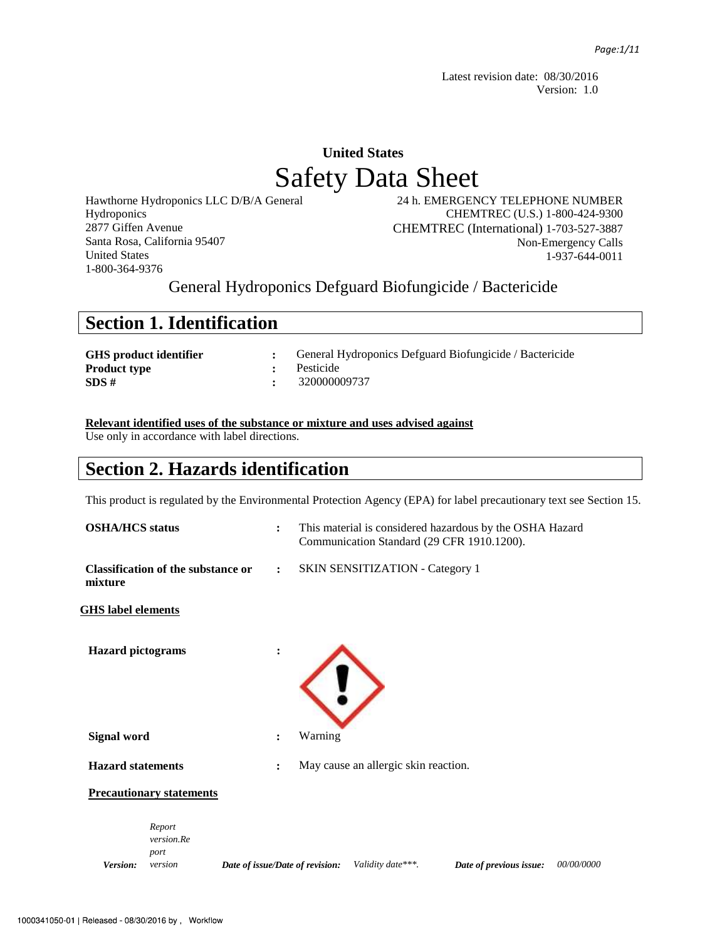Latest revision date: 08/30/2016 Version: 1.0

# **United States**  Safety Data Sheet

Hawthorne Hydroponics LLC D/B/A General Hydroponics 2877 Giffen Avenue Santa Rosa, California 95407 United States 1-800-364-9376

 24 h. EMERGENCY TELEPHONE NUMBER CHEMTREC (U.S.) 1-800-424-9300 CHEMTREC (International) 1-703-527-3887 Non-Emergency Calls 1-937-644-0011

General Hydroponics Defguard Biofungicide / Bactericide

### **Section 1. Identification**

| <b>GHS</b> product identifier | General Hydroponics Defguard Biofungicide / Bactericide |
|-------------------------------|---------------------------------------------------------|
| <b>Product type</b>           | Pesticide                                               |
| SDS#                          | 320000009737                                            |

**Relevant identified uses of the substance or mixture and uses advised against**

Use only in accordance with label directions.

### **Section 2. Hazards identification**

This product is regulated by the Environmental Protection Agency (EPA) for label precautionary text see Section 15.

| <b>OSHA/HCS</b> status                               | $\ddot{\cdot}$                  |         | Communication Standard (29 CFR 1910.1200). | This material is considered hazardous by the OSHA Hazard |            |
|------------------------------------------------------|---------------------------------|---------|--------------------------------------------|----------------------------------------------------------|------------|
| <b>Classification of the substance or</b><br>mixture | $\ddot{\cdot}$                  |         | <b>SKIN SENSITIZATION - Category 1</b>     |                                                          |            |
| <b>GHS</b> label elements                            |                                 |         |                                            |                                                          |            |
| <b>Hazard</b> pictograms                             | $\ddot{\cdot}$                  |         |                                            |                                                          |            |
|                                                      |                                 |         |                                            |                                                          |            |
| <b>Signal word</b>                                   | $\ddot{\cdot}$                  | Warning |                                            |                                                          |            |
| <b>Hazard statements</b>                             | $\ddot{\cdot}$                  |         | May cause an allergic skin reaction.       |                                                          |            |
| <b>Precautionary statements</b>                      |                                 |         |                                            |                                                          |            |
| Report<br>version.Re<br>port<br>Version:<br>version  | Date of issue/Date of revision: |         | Validity date***.                          | Date of previous issue:                                  | 00/00/0000 |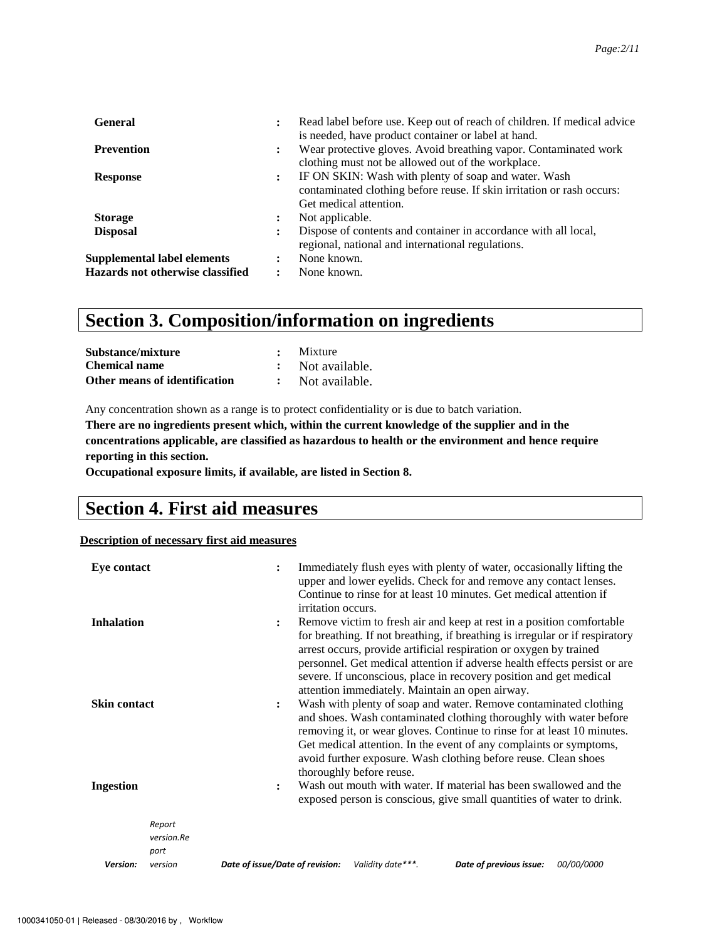| <b>General</b>                                                         | $\ddot{\cdot}$ | Read label before use. Keep out of reach of children. If medical advice<br>is needed, have product container or label at hand.                           |
|------------------------------------------------------------------------|----------------|----------------------------------------------------------------------------------------------------------------------------------------------------------|
| <b>Prevention</b>                                                      | $\ddot{\cdot}$ | Wear protective gloves. Avoid breathing vapor. Contaminated work<br>clothing must not be allowed out of the workplace.                                   |
| <b>Response</b>                                                        | $\ddot{\cdot}$ | IF ON SKIN: Wash with plenty of soap and water. Wash<br>contaminated clothing before reuse. If skin irritation or rash occurs:<br>Get medical attention. |
| <b>Storage</b>                                                         | ٠              | Not applicable.                                                                                                                                          |
| <b>Disposal</b>                                                        |                | Dispose of contents and container in accordance with all local,<br>regional, national and international regulations.                                     |
| Supplemental label elements<br><b>Hazards not otherwise classified</b> |                | None known.<br>None known.                                                                                                                               |

# **Section 3. Composition/information on ingredients**

| Substance/mixture             | Mixture        |
|-------------------------------|----------------|
| <b>Chemical name</b>          | Not available. |
| Other means of identification | Not available. |

Any concentration shown as a range is to protect confidentiality or is due to batch variation.

**There are no ingredients present which, within the current knowledge of the supplier and in the concentrations applicable, are classified as hazardous to health or the environment and hence require reporting in this section.** 

**Occupational exposure limits, if available, are listed in Section 8.**

### **Section 4. First aid measures**

#### **Description of necessary first aid measures**

| <b>Eye contact</b>           | Immediately flush eyes with plenty of water, occasionally lifting the<br>$\ddot{\cdot}$<br>upper and lower eyelids. Check for and remove any contact lenses.<br>Continue to rinse for at least 10 minutes. Get medical attention if<br>irritation occurs.                                                                                                                                                                                           |
|------------------------------|-----------------------------------------------------------------------------------------------------------------------------------------------------------------------------------------------------------------------------------------------------------------------------------------------------------------------------------------------------------------------------------------------------------------------------------------------------|
| <b>Inhalation</b>            | Remove victim to fresh air and keep at rest in a position comfortable<br>$\ddot{\cdot}$<br>for breathing. If not breathing, if breathing is irregular or if respiratory<br>arrest occurs, provide artificial respiration or oxygen by trained<br>personnel. Get medical attention if adverse health effects persist or are<br>severe. If unconscious, place in recovery position and get medical<br>attention immediately. Maintain an open airway. |
| <b>Skin contact</b>          | Wash with plenty of soap and water. Remove contaminated clothing<br>$\ddot{\cdot}$<br>and shoes. Wash contaminated clothing thoroughly with water before<br>removing it, or wear gloves. Continue to rinse for at least 10 minutes.<br>Get medical attention. In the event of any complaints or symptoms,<br>avoid further exposure. Wash clothing before reuse. Clean shoes<br>thoroughly before reuse.                                            |
| <b>Ingestion</b>             | Wash out mouth with water. If material has been swallowed and the<br>$\ddot{\cdot}$<br>exposed person is conscious, give small quantities of water to drink.                                                                                                                                                                                                                                                                                        |
| Report<br>version.Re<br>port |                                                                                                                                                                                                                                                                                                                                                                                                                                                     |
| Version:<br>version          | Date of issue/Date of revision:<br>Validity date***.<br>Date of previous issue:<br><i>00/00/0000</i>                                                                                                                                                                                                                                                                                                                                                |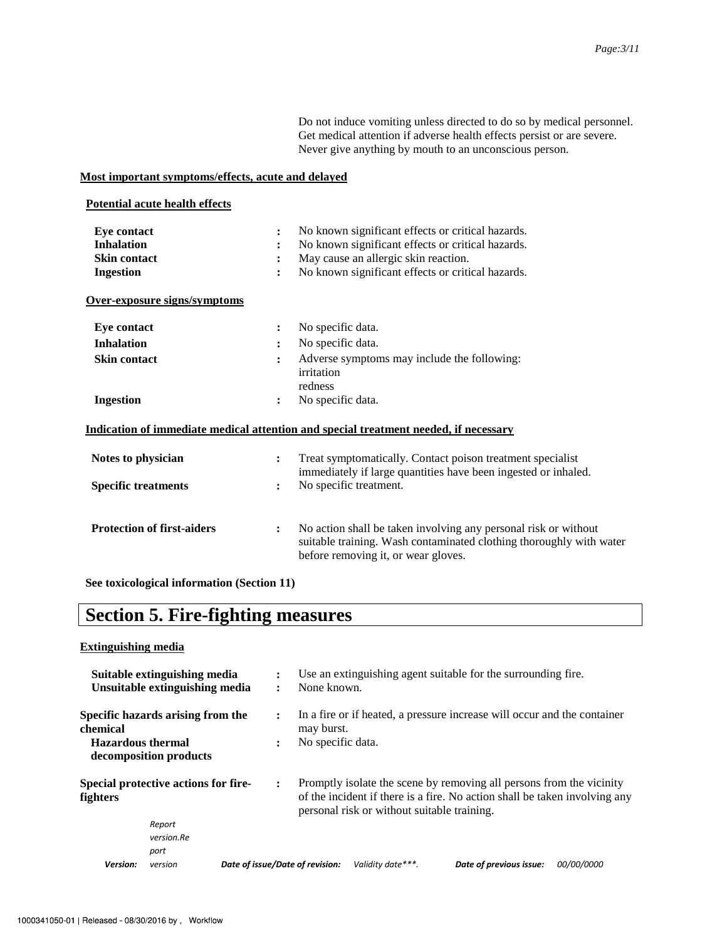Do not induce vomiting unless directed to do so by medical personnel. Get medical attention if adverse health effects persist or are severe. Never give anything by mouth to an unconscious person.

#### **Most important symptoms/effects, acute and delayed**

#### **Potential acute health effects**

| <b>Eye contact</b><br><b>Inhalation</b> | No known significant effects or critical hazards.<br>$\ddot{\cdot}$                                                                                                                             |
|-----------------------------------------|-------------------------------------------------------------------------------------------------------------------------------------------------------------------------------------------------|
|                                         | No known significant effects or critical hazards.                                                                                                                                               |
| <b>Skin contact</b>                     | May cause an allergic skin reaction.<br>:                                                                                                                                                       |
| <b>Ingestion</b>                        | No known significant effects or critical hazards.<br>$\ddot{\cdot}$                                                                                                                             |
| Over-exposure signs/symptoms            |                                                                                                                                                                                                 |
| <b>Eye contact</b>                      | No specific data.<br>$\ddot{\cdot}$                                                                                                                                                             |
| <b>Inhalation</b>                       | No specific data.<br>$\ddot{\cdot}$                                                                                                                                                             |
| <b>Skin contact</b>                     | Adverse symptoms may include the following:<br>:<br>irritation<br>redness                                                                                                                       |
| <b>Ingestion</b>                        | No specific data.<br>$\ddot{\cdot}$                                                                                                                                                             |
|                                         | Indication of immediate medical attention and special treatment needed, if necessary                                                                                                            |
| Notes to physician                      | Treat symptomatically. Contact poison treatment specialist<br>$\ddot{\cdot}$<br>immediately if large quantities have been ingested or inhaled.                                                  |
| <b>Specific treatments</b>              | No specific treatment.<br>:                                                                                                                                                                     |
| <b>Protection of first-aiders</b>       | No action shall be taken involving any personal risk or without<br>$\ddot{\cdot}$<br>suitable training. Wash contaminated clothing thoroughly with water<br>before removing it, or wear gloves. |

**See toxicological information (Section 11)** 

# **Section 5. Fire-fighting measures**

#### **Extinguishing media**

|                                      | Suitable extinguishing media<br>Unsuitable extinguishing media |                                 | None known.                     |                                             | Use an extinguishing agent suitable for the surrounding fire.                                                                                      |                   |
|--------------------------------------|----------------------------------------------------------------|---------------------------------|---------------------------------|---------------------------------------------|----------------------------------------------------------------------------------------------------------------------------------------------------|-------------------|
| chemical<br><b>Hazardous thermal</b> | Specific hazards arising from the<br>decomposition products    | $\ddot{\phantom{a}}$<br>:       | may burst.<br>No specific data. |                                             | In a fire or if heated, a pressure increase will occur and the container                                                                           |                   |
| fighters                             | Special protective actions for fire-                           | $\ddot{\cdot}$                  |                                 | personal risk or without suitable training. | Promptly isolate the scene by removing all persons from the vicinity<br>of the incident if there is a fire. No action shall be taken involving any |                   |
|                                      | Report                                                         |                                 |                                 |                                             |                                                                                                                                                    |                   |
|                                      | version.Re                                                     |                                 |                                 |                                             |                                                                                                                                                    |                   |
|                                      | port                                                           |                                 |                                 |                                             |                                                                                                                                                    |                   |
| <b>Version:</b>                      | version                                                        | Date of issue/Date of revision: |                                 | Validity date***.                           | Date of previous issue:                                                                                                                            | <i>00/00/0000</i> |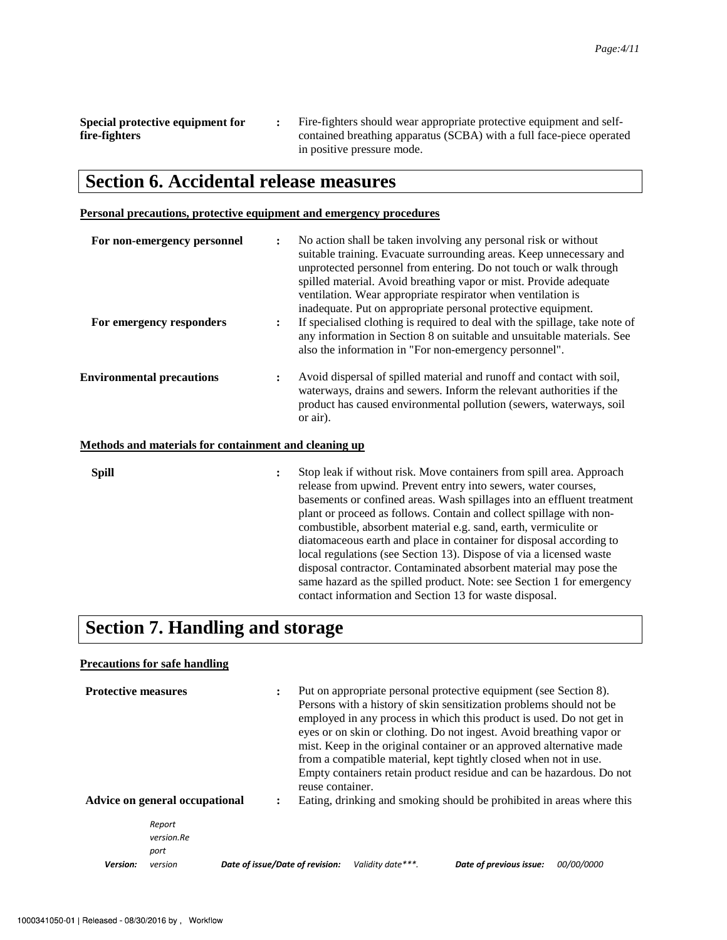**Special protective equipment for fire-fighters :** Fire-fighters should wear appropriate protective equipment and selfcontained breathing apparatus (SCBA) with a full face-piece operated in positive pressure mode.

### **Section 6. Accidental release measures**

#### **Personal precautions, protective equipment and emergency procedures**

| For non-emergency personnel                           | $\ddot{\cdot}$ | No action shall be taken involving any personal risk or without<br>suitable training. Evacuate surrounding areas. Keep unnecessary and<br>unprotected personnel from entering. Do not touch or walk through<br>spilled material. Avoid breathing vapor or mist. Provide adequate<br>ventilation. Wear appropriate respirator when ventilation is<br>inadequate. Put on appropriate personal protective equipment.                                                                                                                                                                                                                                                                                                 |
|-------------------------------------------------------|----------------|-------------------------------------------------------------------------------------------------------------------------------------------------------------------------------------------------------------------------------------------------------------------------------------------------------------------------------------------------------------------------------------------------------------------------------------------------------------------------------------------------------------------------------------------------------------------------------------------------------------------------------------------------------------------------------------------------------------------|
| For emergency responders                              | :              | If specialised clothing is required to deal with the spillage, take note of<br>any information in Section 8 on suitable and unsuitable materials. See<br>also the information in "For non-emergency personnel".                                                                                                                                                                                                                                                                                                                                                                                                                                                                                                   |
| <b>Environmental precautions</b>                      | $\ddot{\cdot}$ | Avoid dispersal of spilled material and runoff and contact with soil,<br>waterways, drains and sewers. Inform the relevant authorities if the<br>product has caused environmental pollution (sewers, waterways, soil<br>or air).                                                                                                                                                                                                                                                                                                                                                                                                                                                                                  |
| Methods and materials for containment and cleaning up |                |                                                                                                                                                                                                                                                                                                                                                                                                                                                                                                                                                                                                                                                                                                                   |
| <b>Spill</b>                                          | :              | Stop leak if without risk. Move containers from spill area. Approach<br>release from upwind. Prevent entry into sewers, water courses,<br>basements or confined areas. Wash spillages into an effluent treatment<br>plant or proceed as follows. Contain and collect spillage with non-<br>combustible, absorbent material e.g. sand, earth, vermiculite or<br>diatomaceous earth and place in container for disposal according to<br>local regulations (see Section 13). Dispose of via a licensed waste<br>disposal contractor. Contaminated absorbent material may pose the<br>same hazard as the spilled product. Note: see Section 1 for emergency<br>contact information and Section 13 for waste disposal. |

# **Section 7. Handling and storage**

|                            | <b>Precautions for safe handling</b> |                                 |                  |                                                                                                                                                                                                                                                                                                                                                                                                                                                                                                              |                                                                       |                   |
|----------------------------|--------------------------------------|---------------------------------|------------------|--------------------------------------------------------------------------------------------------------------------------------------------------------------------------------------------------------------------------------------------------------------------------------------------------------------------------------------------------------------------------------------------------------------------------------------------------------------------------------------------------------------|-----------------------------------------------------------------------|-------------------|
| <b>Protective measures</b> |                                      | ÷                               | reuse container. | Put on appropriate personal protective equipment (see Section 8).<br>Persons with a history of skin sensitization problems should not be<br>employed in any process in which this product is used. Do not get in<br>eyes or on skin or clothing. Do not ingest. Avoid breathing vapor or<br>mist. Keep in the original container or an approved alternative made<br>from a compatible material, kept tightly closed when not in use.<br>Empty containers retain product residue and can be hazardous. Do not |                                                                       |                   |
|                            | Advice on general occupational       | ٠                               |                  |                                                                                                                                                                                                                                                                                                                                                                                                                                                                                                              | Eating, drinking and smoking should be prohibited in areas where this |                   |
|                            | Report<br>version.Re<br>port         |                                 |                  |                                                                                                                                                                                                                                                                                                                                                                                                                                                                                                              |                                                                       |                   |
| <b>Version:</b>            | version                              | Date of issue/Date of revision: |                  | Validity date***.                                                                                                                                                                                                                                                                                                                                                                                                                                                                                            | Date of previous issue:                                               | <i>00/00/0000</i> |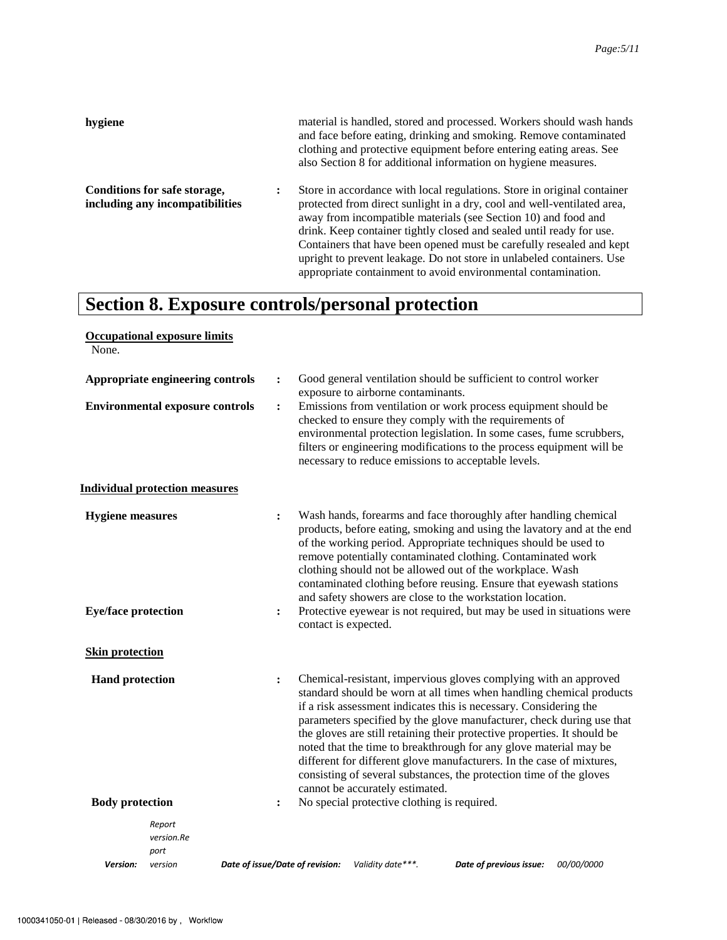| hygiene                                                         |   | material is handled, stored and processed. Workers should wash hands<br>and face before eating, drinking and smoking. Remove contaminated<br>clothing and protective equipment before entering eating areas. See<br>also Section 8 for additional information on hygiene measures.                                                                                                                                                                                                                             |
|-----------------------------------------------------------------|---|----------------------------------------------------------------------------------------------------------------------------------------------------------------------------------------------------------------------------------------------------------------------------------------------------------------------------------------------------------------------------------------------------------------------------------------------------------------------------------------------------------------|
| Conditions for safe storage,<br>including any incompatibilities | : | Store in accordance with local regulations. Store in original container<br>protected from direct sunlight in a dry, cool and well-ventilated area,<br>away from incompatible materials (see Section 10) and food and<br>drink. Keep container tightly closed and sealed until ready for use.<br>Containers that have been opened must be carefully resealed and kept<br>upright to prevent leakage. Do not store in unlabeled containers. Use<br>appropriate containment to avoid environmental contamination. |

# **Section 8. Exposure controls/personal protection**

| None.                                                 | <b>Occupational exposure limits</b>     |                                 |                      |                                             |                                                                                                                                                                                                                                                                                                                                                                                                                                                                                                                                                                                         |            |
|-------------------------------------------------------|-----------------------------------------|---------------------------------|----------------------|---------------------------------------------|-----------------------------------------------------------------------------------------------------------------------------------------------------------------------------------------------------------------------------------------------------------------------------------------------------------------------------------------------------------------------------------------------------------------------------------------------------------------------------------------------------------------------------------------------------------------------------------------|------------|
|                                                       | Appropriate engineering controls        | $\ddot{\cdot}$                  |                      | exposure to airborne contaminants.          | Good general ventilation should be sufficient to control worker                                                                                                                                                                                                                                                                                                                                                                                                                                                                                                                         |            |
|                                                       | <b>Environmental exposure controls</b>  | :                               |                      |                                             | Emissions from ventilation or work process equipment should be<br>checked to ensure they comply with the requirements of<br>environmental protection legislation. In some cases, fume scrubbers,<br>filters or engineering modifications to the process equipment will be<br>necessary to reduce emissions to acceptable levels.                                                                                                                                                                                                                                                        |            |
|                                                       | <b>Individual protection measures</b>   |                                 |                      |                                             |                                                                                                                                                                                                                                                                                                                                                                                                                                                                                                                                                                                         |            |
| <b>Hygiene</b> measures<br><b>Eye/face protection</b> |                                         | :<br>:                          |                      |                                             | Wash hands, forearms and face thoroughly after handling chemical<br>products, before eating, smoking and using the lavatory and at the end<br>of the working period. Appropriate techniques should be used to<br>remove potentially contaminated clothing. Contaminated work<br>clothing should not be allowed out of the workplace. Wash<br>contaminated clothing before reusing. Ensure that eyewash stations<br>and safety showers are close to the workstation location.<br>Protective eyewear is not required, but may be used in situations were                                  |            |
|                                                       |                                         |                                 | contact is expected. |                                             |                                                                                                                                                                                                                                                                                                                                                                                                                                                                                                                                                                                         |            |
| <b>Skin protection</b>                                |                                         |                                 |                      |                                             |                                                                                                                                                                                                                                                                                                                                                                                                                                                                                                                                                                                         |            |
| <b>Hand protection</b>                                |                                         | :                               |                      | cannot be accurately estimated.             | Chemical-resistant, impervious gloves complying with an approved<br>standard should be worn at all times when handling chemical products<br>if a risk assessment indicates this is necessary. Considering the<br>parameters specified by the glove manufacturer, check during use that<br>the gloves are still retaining their protective properties. It should be<br>noted that the time to breakthrough for any glove material may be<br>different for different glove manufacturers. In the case of mixtures,<br>consisting of several substances, the protection time of the gloves |            |
| <b>Body protection</b>                                |                                         | :                               |                      | No special protective clothing is required. |                                                                                                                                                                                                                                                                                                                                                                                                                                                                                                                                                                                         |            |
| Version:                                              | Report<br>version.Re<br>port<br>version | Date of issue/Date of revision: |                      | Validity date***.                           | Date of previous issue:                                                                                                                                                                                                                                                                                                                                                                                                                                                                                                                                                                 | 00/00/0000 |
|                                                       |                                         |                                 |                      |                                             |                                                                                                                                                                                                                                                                                                                                                                                                                                                                                                                                                                                         |            |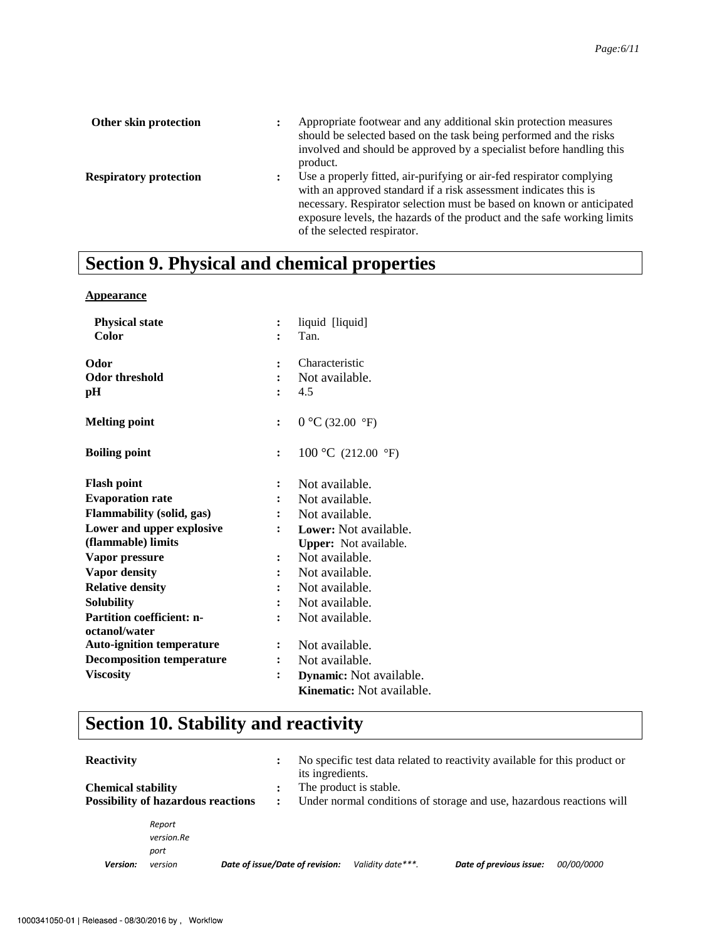| Other skin protection         |                | Appropriate footwear and any additional skin protection measures<br>should be selected based on the task being performed and the risks<br>involved and should be approved by a specialist before handling this<br>product.                                                                                                  |
|-------------------------------|----------------|-----------------------------------------------------------------------------------------------------------------------------------------------------------------------------------------------------------------------------------------------------------------------------------------------------------------------------|
| <b>Respiratory protection</b> | $\ddot{\cdot}$ | Use a properly fitted, air-purifying or air-fed respirator complying<br>with an approved standard if a risk assessment indicates this is<br>necessary. Respirator selection must be based on known or anticipated<br>exposure levels, the hazards of the product and the safe working limits<br>of the selected respirator. |

# **Section 9. Physical and chemical properties**

#### **Appearance**

| <b>Physical state</b><br>Color                    |                      | liquid [liquid]<br>Tan.        |
|---------------------------------------------------|----------------------|--------------------------------|
| Odor                                              |                      | Characteristic                 |
| <b>Odor threshold</b>                             |                      | Not available.                 |
| pН                                                |                      | 4.5                            |
| <b>Melting point</b>                              | $\ddot{\cdot}$       | 0 °C (32.00 °F)                |
| <b>Boiling point</b>                              | $\ddot{\cdot}$       | 100 °C (212.00 °F)             |
| <b>Flash point</b>                                | $\ddot{\cdot}$       | Not available.                 |
| <b>Evaporation rate</b>                           |                      | Not available.                 |
| Flammability (solid, gas)                         |                      | Not available.                 |
| Lower and upper explosive                         |                      | <b>Lower:</b> Not available.   |
| (flammable) limits                                |                      | <b>Upper:</b> Not available.   |
| Vapor pressure                                    | $\ddot{\cdot}$       | Not available.                 |
| Vapor density                                     |                      | Not available.                 |
| <b>Relative density</b>                           | $\ddot{\phantom{a}}$ | Not available.                 |
| <b>Solubility</b>                                 |                      | Not available.                 |
| <b>Partition coefficient: n-</b><br>octanol/water | $\ddot{\cdot}$       | Not available.                 |
| <b>Auto-ignition temperature</b>                  | $\ddot{\cdot}$       | Not available.                 |
| <b>Decomposition temperature</b>                  | $\ddot{\phantom{a}}$ | Not available.                 |
| <b>Viscosity</b>                                  | $\ddot{\cdot}$       | <b>Dynamic:</b> Not available. |
|                                                   |                      | Kinematic: Not available.      |

# **Section 10. Stability and reactivity**

| <b>Reactivity</b>         |                                           |                                 | its ingredients. |                        | No specific test data related to reactivity available for this product or |                   |
|---------------------------|-------------------------------------------|---------------------------------|------------------|------------------------|---------------------------------------------------------------------------|-------------------|
| <b>Chemical stability</b> |                                           |                                 |                  | The product is stable. |                                                                           |                   |
|                           | <b>Possibility of hazardous reactions</b> |                                 |                  |                        | Under normal conditions of storage and use, hazardous reactions will      |                   |
|                           | Report<br>version.Re<br>port              |                                 |                  |                        |                                                                           |                   |
| Version:                  | version                                   | Date of issue/Date of revision: |                  | Validity date***.      | Date of previous issue:                                                   | <i>00/00/0000</i> |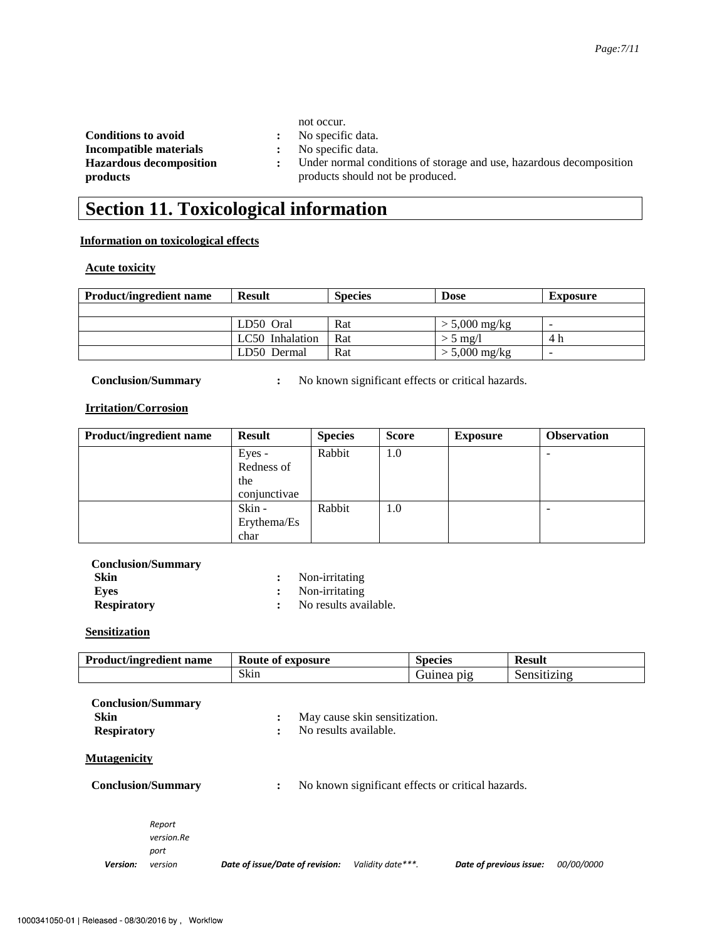**Conditions to avoid :** No specific data. **Incompatible materials :** No specific data. **Hazardous decomposition products** 

not occur.

**:** Under normal conditions of storage and use, hazardous decomposition products should not be produced.

## **Section 11. Toxicological information**

#### **Information on toxicological effects**

#### **Acute toxicity**

| <b>Product/ingredient name</b> | <b>Result</b>   | <b>Species</b> | <b>Dose</b>             | <b>Exposure</b>          |
|--------------------------------|-----------------|----------------|-------------------------|--------------------------|
|                                |                 |                |                         |                          |
|                                | LD50 Oral       | Rat            | $> 5,000 \text{ mg/kg}$ | -                        |
|                                | LC50 Inhalation | Rat            | $> 5$ mg/l              | 4 h                      |
|                                | LD50 Dermal     | Rat            | $> 5,000$ mg/kg         | $\overline{\phantom{0}}$ |

**Conclusion/Summary :** No known significant effects or critical hazards.

#### **Irritation/Corrosion**

| <b>Product/ingredient name</b> | <b>Result</b> | <b>Species</b> | <b>Score</b> | <b>Exposure</b> | <b>Observation</b>       |
|--------------------------------|---------------|----------------|--------------|-----------------|--------------------------|
|                                | Eyes -        | Rabbit         | 1.0          |                 | -                        |
|                                | Redness of    |                |              |                 |                          |
|                                | the           |                |              |                 |                          |
|                                | conjunctivae  |                |              |                 |                          |
|                                | Skin -        | Rabbit         | 1.0          |                 | $\overline{\phantom{a}}$ |
|                                | Erythema/Es   |                |              |                 |                          |
|                                | char          |                |              |                 |                          |

| <b>Conclusion/Summary</b> |                             |
|---------------------------|-----------------------------|
| Skin                      | $:$ Non-irritating          |
| Eves                      | $\therefore$ Non-irritating |
| <b>Respiratory</b>        | No results available.       |

#### **Sensitization**

| <b>Product/ingredient name</b> | Route of exposure | <b>Species</b> | <b>Result</b> |
|--------------------------------|-------------------|----------------|---------------|
|                                | Skin              | Guinea pig     | Sensitizing   |
| Conclusion/Summarv             |                   |                |               |

| <b>Skin</b><br><b>Respiratory</b> |            | ٠<br>٠                          | No results available. | May cause skin sensitization. |                                                   |                   |
|-----------------------------------|------------|---------------------------------|-----------------------|-------------------------------|---------------------------------------------------|-------------------|
| <b>Mutagenicity</b>               |            |                                 |                       |                               |                                                   |                   |
| <b>Conclusion/Summary</b>         |            | $\ddot{\phantom{a}}$            |                       |                               | No known significant effects or critical hazards. |                   |
| Report<br>port                    | version.Re |                                 |                       |                               |                                                   |                   |
| Version:<br>version               |            | Date of issue/Date of revision: |                       | Validity date***.             | Date of previous issue:                           | <i>00/00/0000</i> |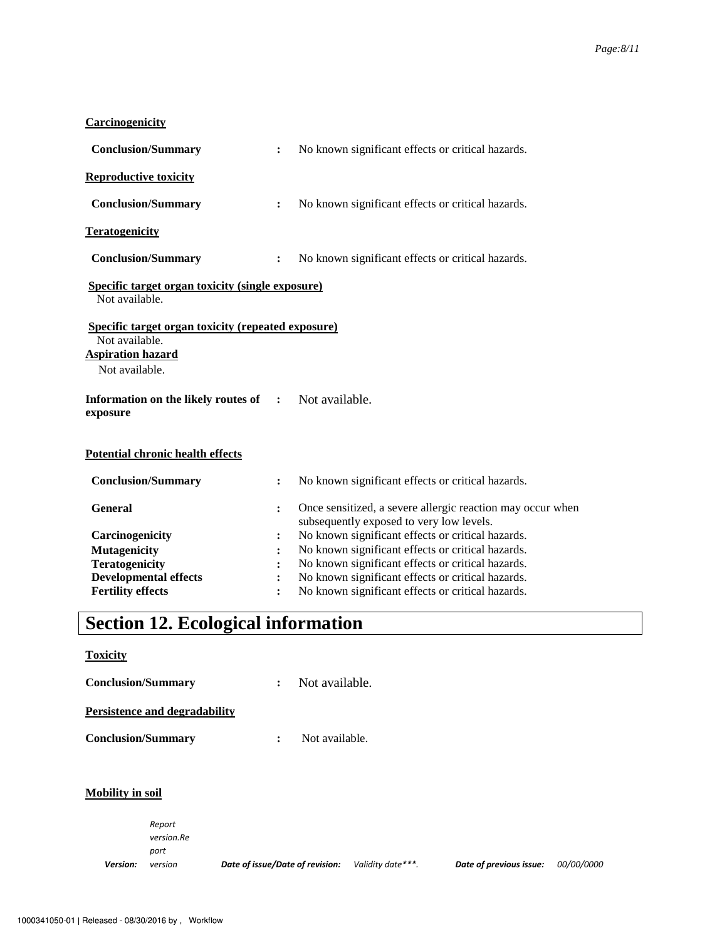#### **Carcinogenicity**

| <b>Conclusion/Summary</b>                                                                                                 | $\ddot{\cdot}$       | No known significant effects or critical hazards.                                                      |
|---------------------------------------------------------------------------------------------------------------------------|----------------------|--------------------------------------------------------------------------------------------------------|
| <b>Reproductive toxicity</b>                                                                                              |                      |                                                                                                        |
| <b>Conclusion/Summary</b>                                                                                                 | $\ddot{\cdot}$       | No known significant effects or critical hazards.                                                      |
| <b>Teratogenicity</b>                                                                                                     |                      |                                                                                                        |
| <b>Conclusion/Summary</b>                                                                                                 | $\ddot{\phantom{a}}$ | No known significant effects or critical hazards.                                                      |
| <b>Specific target organ toxicity (single exposure)</b><br>Not available.                                                 |                      |                                                                                                        |
| <b>Specific target organ toxicity (repeated exposure)</b><br>Not available.<br><b>Aspiration hazard</b><br>Not available. |                      |                                                                                                        |
| Information on the likely routes of<br>exposure                                                                           | $\ddot{\cdot}$       | Not available.                                                                                         |
| <b>Potential chronic health effects</b>                                                                                   |                      |                                                                                                        |
| <b>Conclusion/Summary</b>                                                                                                 | $\ddot{\cdot}$       | No known significant effects or critical hazards.                                                      |
| <b>General</b>                                                                                                            | $\ddot{\cdot}$       | Once sensitized, a severe allergic reaction may occur when<br>subsequently exposed to very low levels. |
| Carcinogenicity                                                                                                           | ፡                    | No known significant effects or critical hazards.                                                      |
| <b>Mutagenicity</b>                                                                                                       |                      | No known significant effects or critical hazards.                                                      |
| <b>Teratogenicity</b>                                                                                                     |                      | No known significant effects or critical hazards.                                                      |
| <b>Developmental effects</b>                                                                                              |                      | No known significant effects or critical hazards.                                                      |
| <b>Fertility effects</b>                                                                                                  |                      | No known significant effects or critical hazards.                                                      |

# **Section 12. Ecological information**

#### **Toxicity**

| <b>Conclusion/Summary</b> |  | Not available. |
|---------------------------|--|----------------|
|---------------------------|--|----------------|

#### **Persistence and degradability**

**Conclusion/Summary :** Not available.

#### **Mobility in soil**

*Version: Report version.Re port*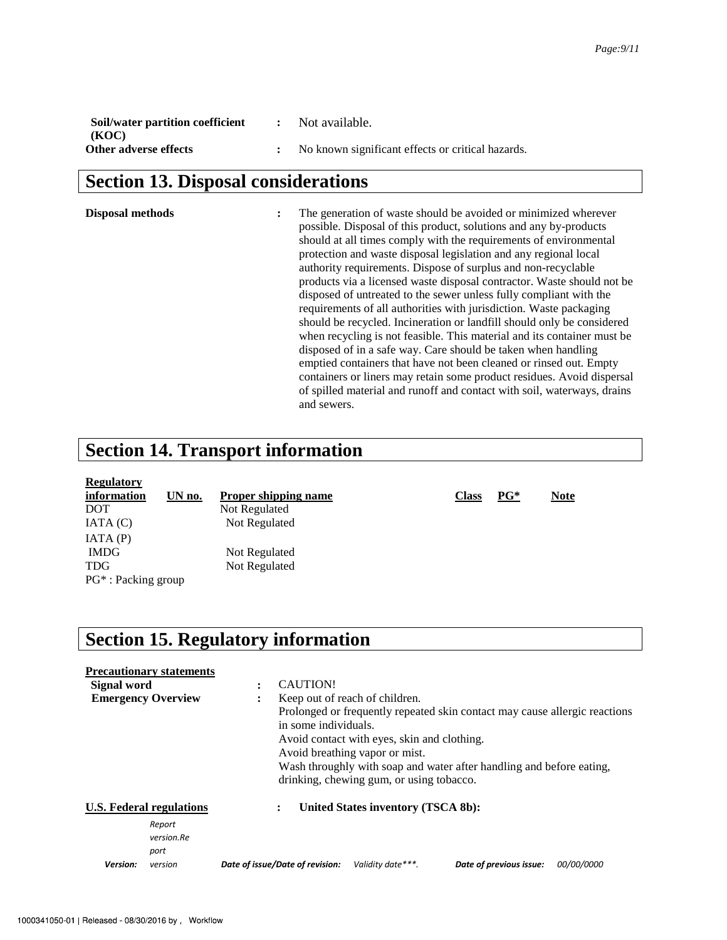| Soil/water partition coefficient | $\cdot$ : | Not available.                                    |
|----------------------------------|-----------|---------------------------------------------------|
| (KOC)                            |           |                                                   |
| Other adverse effects            |           | No known significant effects or critical hazards. |

# **Section 13. Disposal considerations**

**Disposal methods :** The generation of waste should be avoided or minimized wherever possible. Disposal of this product, solutions and any by-products should at all times comply with the requirements of environmental protection and waste disposal legislation and any regional local authority requirements. Dispose of surplus and non-recyclable products via a licensed waste disposal contractor. Waste should not be disposed of untreated to the sewer unless fully compliant with the requirements of all authorities with jurisdiction. Waste packaging should be recycled. Incineration or landfill should only be considered when recycling is not feasible. This material and its container must be disposed of in a safe way. Care should be taken when handling emptied containers that have not been cleaned or rinsed out. Empty containers or liners may retain some product residues. Avoid dispersal of spilled material and runoff and contact with soil, waterways, drains and sewers.

### **Section 14. Transport information**

| <b>Regulatory</b>  |        |                             |       |        |             |
|--------------------|--------|-----------------------------|-------|--------|-------------|
| information        | UN no. | <b>Proper shipping name</b> | Class | $PG^*$ | <b>Note</b> |
| <b>DOT</b>         |        | Not Regulated               |       |        |             |
| IATA(C)            |        | Not Regulated               |       |        |             |
| IATA(P)            |        |                             |       |        |             |
| <b>IMDG</b>        |        | Not Regulated               |       |        |             |
| <b>TDG</b>         |        | Not Regulated               |       |        |             |
| PG*: Packing group |        |                             |       |        |             |

### **Section 15. Regulatory information**

| Signal word | <b>Precautionary statements</b><br><b>Emergency Overview</b>    | $\bullet$ | CAUTION!<br>Keep out of reach of children.<br>Prolonged or frequently repeated skin contact may cause allergic reactions<br>in some individuals.<br>Avoid contact with eyes, skin and clothing.<br>Avoid breathing vapor or mist.<br>Wash throughly with soap and water after handling and before eating,<br>drinking, chewing gum, or using tobacco. |                                    |                         |                   |  |
|-------------|-----------------------------------------------------------------|-----------|-------------------------------------------------------------------------------------------------------------------------------------------------------------------------------------------------------------------------------------------------------------------------------------------------------------------------------------------------------|------------------------------------|-------------------------|-------------------|--|
|             | <b>U.S. Federal regulations</b><br>Report<br>version.Re<br>port |           | $\ddot{\phantom{a}}$                                                                                                                                                                                                                                                                                                                                  | United States inventory (TSCA 8b): |                         |                   |  |
| Version:    | version                                                         |           | Date of issue/Date of revision:                                                                                                                                                                                                                                                                                                                       | Validity date***.                  | Date of previous issue: | <i>00/00/0000</i> |  |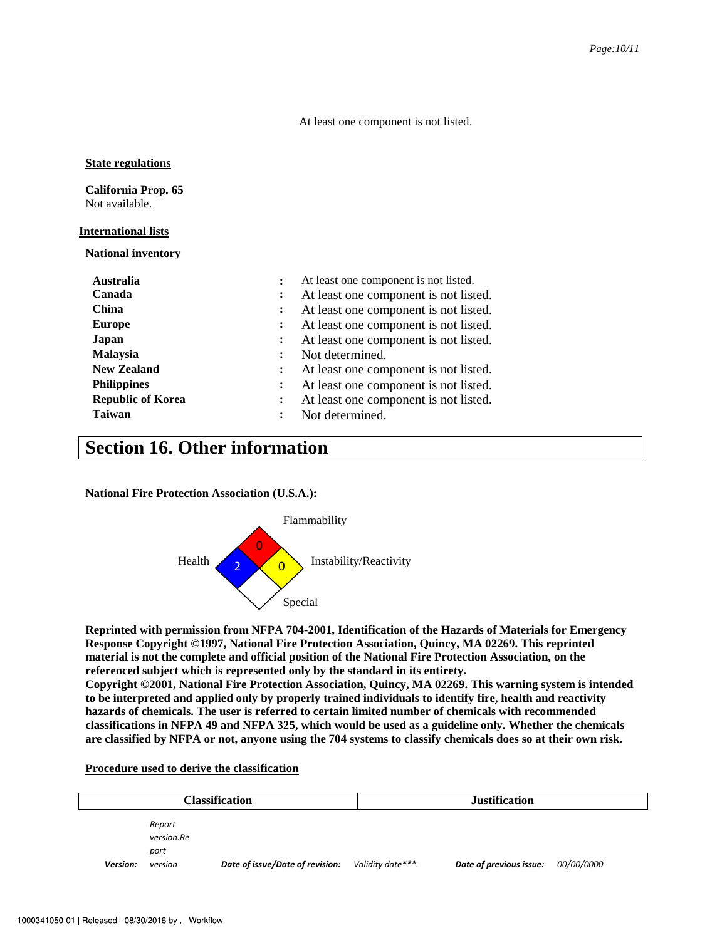At least one component is not listed.

#### **State regulations**

**California Prop. 65**  Not available.

#### **International lists**

#### **National inventory**

| <b>Australia</b><br>Canada |                      | At least one component is not listed.<br>At least one component is not listed. |
|----------------------------|----------------------|--------------------------------------------------------------------------------|
| <b>China</b>               | $\ddot{\cdot}$       | At least one component is not listed.                                          |
| <b>Europe</b>              | $\ddot{\cdot}$       | At least one component is not listed.                                          |
| Japan                      |                      | At least one component is not listed.                                          |
| <b>Malaysia</b>            |                      | Not determined.                                                                |
| <b>New Zealand</b>         |                      | At least one component is not listed.                                          |
| <b>Philippines</b>         | $\ddot{\phantom{0}}$ | At least one component is not listed.                                          |
| <b>Republic of Korea</b>   | $\ddot{\cdot}$       | At least one component is not listed.                                          |
| <b>Taiwan</b>              |                      | Not determined.                                                                |

### **Section 16. Other information**

**National Fire Protection Association (U.S.A.):** 



**Reprinted with permission from NFPA 704-2001, Identification of the Hazards of Materials for Emergency Response Copyright ©1997, National Fire Protection Association, Quincy, MA 02269. This reprinted material is not the complete and official position of the National Fire Protection Association, on the referenced subject which is represented only by the standard in its entirety. Copyright ©2001, National Fire Protection Association, Quincy, MA 02269. This warning system is intended to be interpreted and applied only by properly trained individuals to identify fire, health and reactivity hazards of chemicals. The user is referred to certain limited number of chemicals with recommended classifications in NFPA 49 and NFPA 325, which would be used as a guideline only. Whether the chemicals are classified by NFPA or not, anyone using the 704 systems to classify chemicals does so at their own risk.** 

#### **Procedure used to derive the classification**

| <b>Classification</b> |                      |                                 | <b>Justification</b> |                         |                   |
|-----------------------|----------------------|---------------------------------|----------------------|-------------------------|-------------------|
|                       | Report<br>version.Re |                                 |                      |                         |                   |
| Version:              | port<br>version      | Date of issue/Date of revision: | Validity date***.    | Date of previous issue: | <i>00/00/0000</i> |